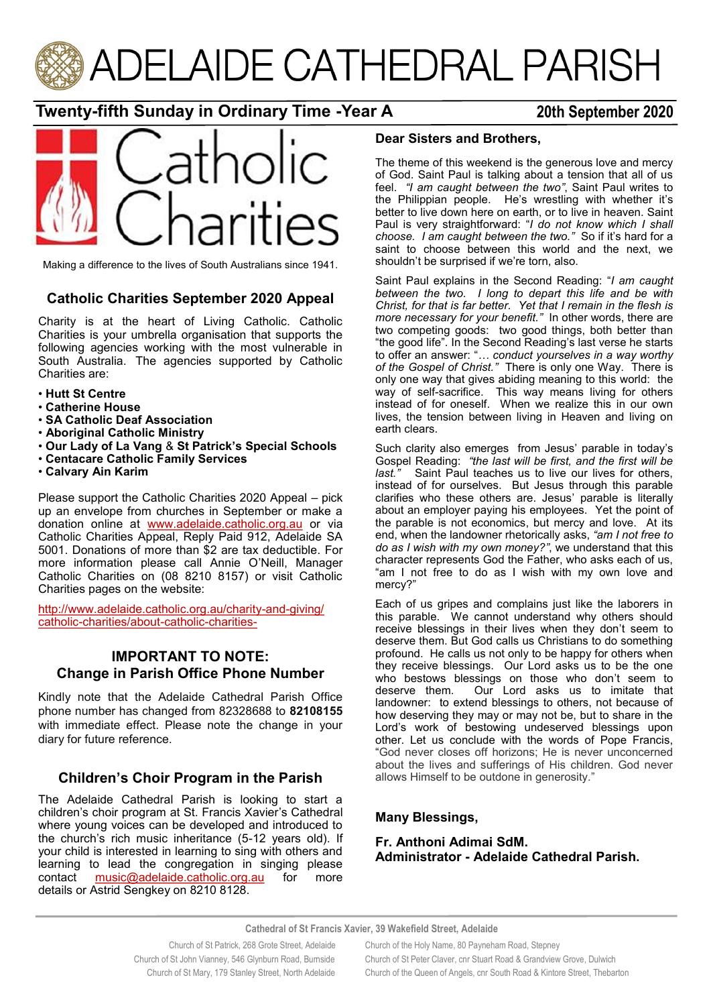

# **Twenty-fifth Sunday in Ordinary Time -Year A 20th September 2020**



Making a difference to the lives of South Australians since 1941.

### **Catholic Charities September 2020 Appeal**

Charity is at the heart of Living Catholic. Catholic Charities is your umbrella organisation that supports the following agencies working with the most vulnerable in South Australia. The agencies supported by Catholic Charities are:

- **Hutt St Centre**
- **Catherine House**
- **SA Catholic Deaf Association**
- **Aboriginal Catholic Ministry**
- **Our Lady of La Vang** & **St Patrick's Special Schools**
- **Centacare Catholic Family Services**
- **Calvary Ain Karim**

Please support the Catholic Charities 2020 Appeal – pick up an envelope from churches in September or make a donation online at [www.adelaide.catholic.org.au](http://www.adelaide.catholic.org.au) or via Catholic Charities Appeal, Reply Paid 912, Adelaide SA 5001. Donations of more than \$2 are tax deductible. For more information please call Annie O'Neill, Manager Catholic Charities on (08 8210 8157) or visit Catholic Charities pages on the website:

[http://www.adelaide.catholic.org.au/charity](http://www.adelaide.catholic.org.au/charity-and-giving/catholic-charities/about-catholic-charities-)-and-giving/ catholic-[charities/about](http://www.adelaide.catholic.org.au/charity-and-giving/catholic-charities/about-catholic-charities-)-catholic-charities-

### **IMPORTANT TO NOTE: Change in Parish Office Phone Number**

Kindly note that the Adelaide Cathedral Parish Office phone number has changed from 82328688 to **82108155**  with immediate effect. Please note the change in your diary for future reference.

### **Children's Choir Program in the Parish**

The Adelaide Cathedral Parish is looking to start a children's choir program at St. Francis Xavier's Cathedral where young voices can be developed and introduced to the church's rich music inheritance (5-12 years old). If your child is interested in learning to sing with others and learning to lead the congregation in singing please contact [music@adelaide.catholic.org.au](mailto:music@adelaide.cathedral.org.au) for more details or Astrid Sengkey on 8210 8128.

#### **Dear Sisters and Brothers,**

The theme of this weekend is the generous love and mercy of God. Saint Paul is talking about a tension that all of us feel. *"I am caught between the two"*, Saint Paul writes to the Philippian people. He's wrestling with whether it's better to live down here on earth, or to live in heaven. Saint Paul is very straightforward: "*I do not know which I shall choose. I am caught between the two."* So if it's hard for a saint to choose between this world and the next, we shouldn't be surprised if we're torn, also.

Saint Paul explains in the Second Reading: "*I am caught between the two. I long to depart this life and be with Christ, for that is far better. Yet that I remain in the flesh is more necessary for your benefit."* In other words, there are two competing goods: two good things, both better than "the good life". In the Second Reading's last verse he starts to offer an answer: "*… conduct yourselves in a way worthy of the Gospel of Christ."* There is only one Way. There is only one way that gives abiding meaning to this world: the way of self-sacrifice. This way means living for others instead of for oneself. When we realize this in our own lives, the tension between living in Heaven and living on earth clears.

Such clarity also emerges from Jesus' parable in today's Gospel Reading: *"the last will be first, and the first will be last."* Saint Paul teaches us to live our lives for others, instead of for ourselves. But Jesus through this parable clarifies who these others are. Jesus' parable is literally about an employer paying his employees. Yet the point of the parable is not economics, but mercy and love. At its end, when the landowner rhetorically asks, *"am I not free to do as I wish with my own money?"*, we understand that this character represents God the Father, who asks each of us, "am I not free to do as I wish with my own love and mercy?"

Each of us gripes and complains just like the laborers in this parable. We cannot understand why others should receive blessings in their lives when they don't seem to deserve them. But God calls us Christians to do something profound. He calls us not only to be happy for others when they receive blessings. Our Lord asks us to be the one who bestows blessings on those who don't seem to deserve them. Our Lord asks us to imitate that landowner: to extend blessings to others, not because of how deserving they may or may not be, but to share in the Lord's work of bestowing undeserved blessings upon other. Let us conclude with the words of Pope Francis, "God never closes off horizons; He is never unconcerned about the lives and sufferings of His children. God never allows Himself to be outdone in generosity."

#### **Many Blessings,**

#### **Fr. Anthoni Adimai SdM. Administrator - Adelaide Cathedral Parish.**

**Cathedral of St Francis Xavier, 39 Wakefield Street, Adelaide**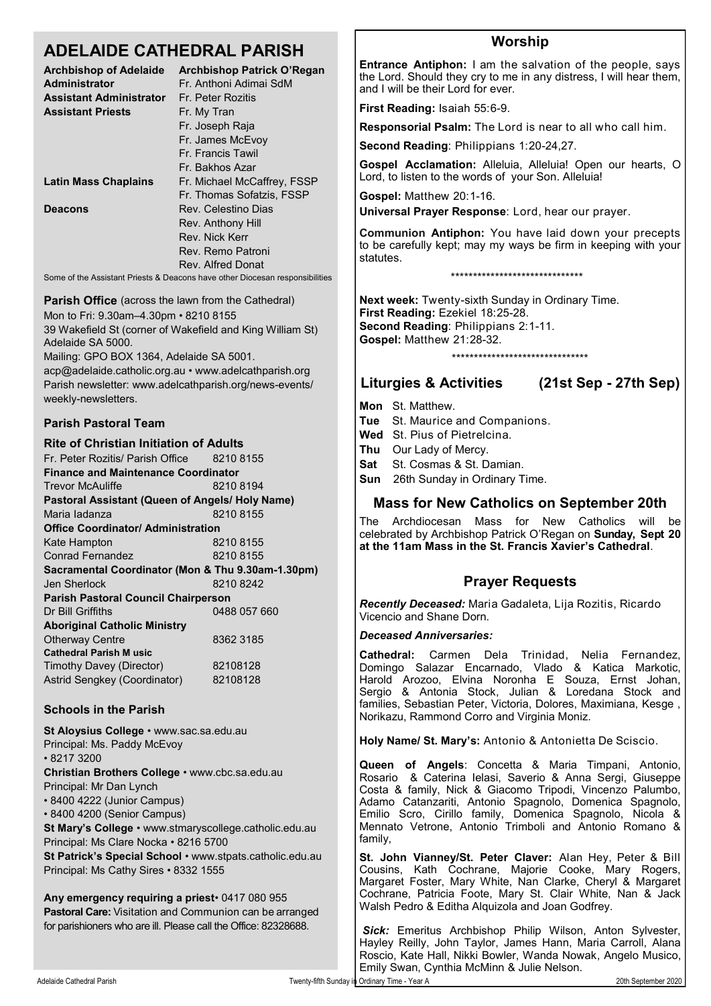# **ADELAIDE CATHEDRAL PARISH**

| <b>Archbishop of Adelaide</b><br><b>Administrator</b>                       | <b>Archbishop Patrick O'Regan</b><br>Fr. Anthoni Adimai SdM |  |  |  |  |
|-----------------------------------------------------------------------------|-------------------------------------------------------------|--|--|--|--|
| <b>Assistant Administrator</b>                                              | Fr. Peter Rozitis                                           |  |  |  |  |
| <b>Assistant Priests</b>                                                    | Fr. My Tran                                                 |  |  |  |  |
|                                                                             | Fr. Joseph Raja                                             |  |  |  |  |
|                                                                             | Fr. James McEvoy                                            |  |  |  |  |
|                                                                             | Fr. Francis Tawil                                           |  |  |  |  |
|                                                                             | Fr. Bakhos Azar                                             |  |  |  |  |
| <b>Latin Mass Chaplains</b>                                                 | Fr. Michael McCaffrey, FSSP                                 |  |  |  |  |
|                                                                             | Fr. Thomas Sofatzis, FSSP                                   |  |  |  |  |
| Deacons                                                                     | Rev. Celestino Dias                                         |  |  |  |  |
|                                                                             | Rev. Anthony Hill                                           |  |  |  |  |
|                                                                             | Rev. Nick Kerr                                              |  |  |  |  |
|                                                                             | Rev. Remo Patroni                                           |  |  |  |  |
|                                                                             | Rev. Alfred Donat                                           |  |  |  |  |
| Some of the Assistant Priests & Deacons have other Diocesan responsibilitie |                                                             |  |  |  |  |

**Parish Office** (across the lawn from the Cathedral) Mon to Fri: 9.30am–4.30pm • 8210 8155 39 Wakefield St (corner of Wakefield and King William St)

Adelaide SA 5000.

Mailing: GPO BOX 1364, Adelaide SA 5001.

acp@adelaide.catholic.org.au • www.adelcathparish.org Parish newsletter: www.adelcathparish.org/news-events/ weekly-newsletters.

### **Parish Pastoral Team**

#### **Rite of Christian Initiation of Adults** Fr. Peter Rozitis/ Parish Office 8210 8155 **Finance and Maintenance Coordinator** Trevor McAuliffe 8210 8194 **Pastoral Assistant (Queen of Angels/ Holy Name)** Maria ladanza 8210 8155 **Office Coordinator/ Administration**  Kate Hampton 8210 8155 Conrad Fernandez 8210 8155 **Sacramental Coordinator (Mon & Thu 9.30am-1.30pm)** Jen Sherlock 8210 8242 **Parish Pastoral Council Chairperson** Dr Bill Griffiths 0488 057 660 **Aboriginal Catholic Ministry** Otherway Centre 8362 3185 **Cathedral Parish M usic**  Timothy Davey (Director) 82108128 Astrid Sengkey (Coordinator) 82108128

### **Schools in the Parish**

| St Aloysius College • www.sac.sa.edu.au                  |
|----------------------------------------------------------|
| Principal: Ms. Paddy McEvoy                              |
| $\cdot$ 8217 3200                                        |
| Christian Brothers College . www.cbc.sa.edu.au           |
| Principal: Mr Dan Lynch                                  |
| • 8400 4222 (Junior Campus)                              |
| • 8400 4200 (Senior Campus)                              |
| St Mary's College · www.stmaryscollege.catholic.edu.au   |
| Principal: Ms Clare Nocka • 8216 5700                    |
| St Patrick's Special School • www.stpats.catholic.edu.au |
| Principal: Ms Cathy Sires • 8332 1555                    |
| Any emergency requiring a priest 0417 080 955            |

**Pastoral Care:** Visitation and Communion can be arranged for parishioners who are ill. Please call the Office: 82328688.

## **Worship**

**Entrance Antiphon:** I am the salvation of the people, says the Lord. Should they cry to me in any distress, I will hear them, and I will be their Lord for ever.

**First Reading:** Isaiah 55:6-9.

**Responsorial Psalm:** The Lord is near to all who call him.

**Second Reading**: Philippians 1:20-24,27.

**Gospel Acclamation:** Alleluia, Alleluia! Open our hearts, O Lord, to listen to the words of your Son. Alleluia!

**Gospel:** Matthew 20:1-16.

**Universal Prayer Response**: Lord, hear our prayer.

**Communion Antiphon:** You have laid down your precepts to be carefully kept; may my ways be firm in keeping with your statutes.

\*\*\*\*\*\*\*\*\*\*\*\*\*\*\*\*\*\*\*\*\*\*\*\*\*\*\*\*\*\*

**Next week:** Twenty-sixth Sunday in Ordinary Time. **First Reading:** Ezekiel 18:25-28. **Second Reading**: Philippians 2:1-11. **Gospel:** Matthew 21:28-32.

\*\*\*\*\*\*\*\*\*\*\*\*\*\*\*\*\*\*\*\*\*\*\*\*\*\*\*\*\*\*\*

### **Liturgies & Activities (21st Sep - 27th Sep)**

- **Mon** St. Matthew.
- **Tue** St. Maurice and Companions.
- **Wed** St. Pius of Pietrelcina.
- **Thu** Our Lady of Mercy.
- **Sat** St. Cosmas & St. Damian.
- **Sun** 26th Sunday in Ordinary Time.

### **Mass for New Catholics on September 20th**

The Archdiocesan Mass for New Catholics will be celebrated by Archbishop Patrick O'Regan on **Sunday, Sept 20 at the 11am Mass in the St. Francis Xavier's Cathedral**.

### **Prayer Requests**

*Recently Deceased:* Maria Gadaleta, Lija Rozitis, Ricardo Vicencio and Shane Dorn.

#### *Deceased Anniversaries:*

**Cathedral:** Carmen Dela Trinidad, Nelia Fernandez, Domingo Salazar Encarnado, Vlado & Katica Markotic, Harold Arozoo, Elvina Noronha E Souza, Ernst Johan, Sergio & Antonia Stock, Julian & Loredana Stock and families, Sebastian Peter, Victoria, Dolores, Maximiana, Kesge , Norikazu, Rammond Corro and Virginia Moniz.

**Holy Name/ St. Mary's:** Antonio & Antonietta De Sciscio.

**Queen of Angels**: Concetta & Maria Timpani, Antonio, Rosario & Caterina Ielasi, Saverio & Anna Sergi, Giuseppe Costa & family, Nick & Giacomo Tripodi, Vincenzo Palumbo, Adamo Catanzariti, Antonio Spagnolo, Domenica Spagnolo, Emilio Scro, Cirillo family, Domenica Spagnolo, Nicola & Mennato Vetrone, Antonio Trimboli and Antonio Romano & family,

**St. John Vianney/St. Peter Claver:** Alan Hey, Peter & Bill Cousins, Kath Cochrane, Majorie Cooke, Mary Rogers, Margaret Foster, Mary White, Nan Clarke, Cheryl & Margaret Cochrane, Patricia Foote, Mary St. Clair White, Nan & Jack Walsh Pedro & Editha Alquizola and Joan Godfrey.

*Sick:* Emeritus Archbishop Philip Wilson, Anton Sylvester, Hayley Reilly, John Taylor, James Hann, Maria Carroll, Alana Roscio, Kate Hall, Nikki Bowler, Wanda Nowak, Angelo Musico, Emily Swan, Cynthia McMinn & Julie Nelson.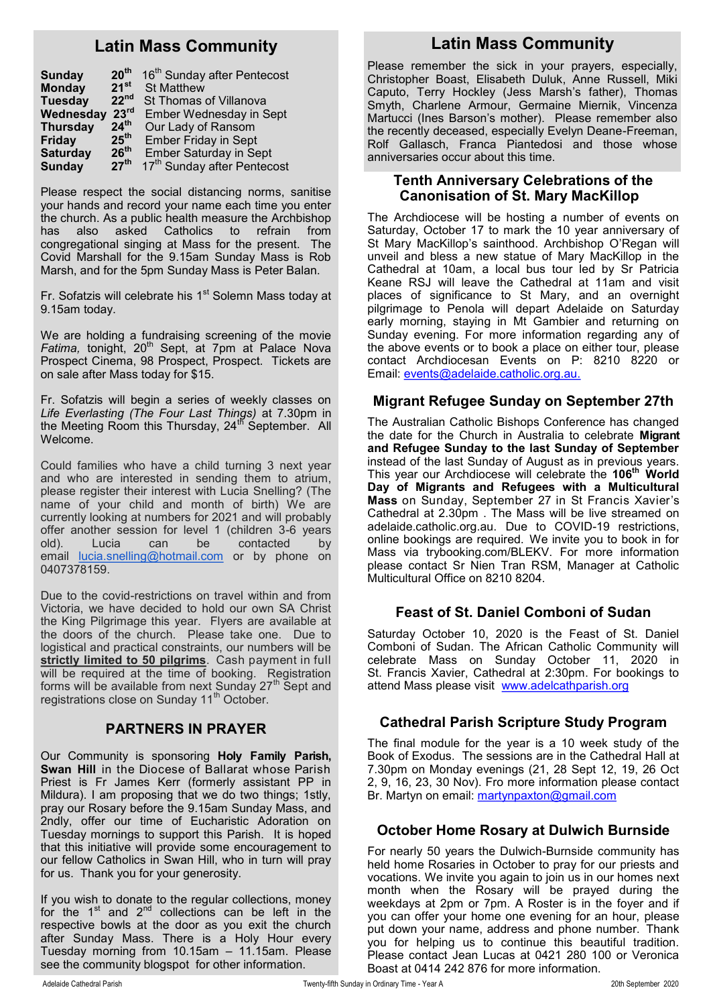# **Latin Mass Community**

| <b>Sunday</b>   | 20 <sup>th</sup> | 16 <sup>th</sup> Sunday after Pentecost |
|-----------------|------------------|-----------------------------------------|
| <b>Monday</b>   | $21^{st}$        | <b>St Matthew</b>                       |
| <b>Tuesday</b>  | 22 <sup>nd</sup> | St Thomas of Villanova                  |
| Wednesday       | 23 <sup>rd</sup> | Ember Wednesday in Sept                 |
| <b>Thursday</b> | 24 <sup>th</sup> | Our Lady of Ransom                      |
| <b>Friday</b>   | 25 <sup>th</sup> | <b>Ember Friday in Sept</b>             |
| <b>Saturday</b> | 26 <sup>th</sup> | <b>Ember Saturday in Sept</b>           |
| <b>Sunday</b>   | 27 <sup>th</sup> | 17th Sunday after Pentecost             |

Please respect the social distancing norms, sanitise your hands and record your name each time you enter the church. As a public health measure the Archbishop has also asked Catholics to refrain from congregational singing at Mass for the present. The Covid Marshall for the 9.15am Sunday Mass is Rob Marsh, and for the 5pm Sunday Mass is Peter Balan.

Fr. Sofatzis will celebrate his 1<sup>st</sup> Solemn Mass today at 9.15am today.

We are holding a fundraising screening of the movie *Fatima, tonight, 20<sup>th</sup> Sept, at 7pm at Palace Nova* Prospect Cinema, 98 Prospect, Prospect. Tickets are on sale after Mass today for \$15.

Fr. Sofatzis will begin a series of weekly classes on *Life Everlasting (The Four Last Things)* at 7.30pm in the Meeting Room this Thursday, 24<sup>th</sup> September. All Welcome.

Could families who have a child turning 3 next year and who are interested in sending them to atrium, please register their interest with Lucia Snelling? (The name of your child and month of birth) We are currently looking at numbers for 2021 and will probably offer another session for level 1 (children 3-6 years old). Lucia can be contacted by email [lucia.snelling@hotmail.com](mailto:lucia.snelling@hotmail.com) or by phone on 0407378159.

Due to the covid-restrictions on travel within and from Victoria, we have decided to hold our own SA Christ the King Pilgrimage this year. Flyers are available at the doors of the church. Please take one. Due to logistical and practical constraints, our numbers will be **strictly limited to 50 pilgrims**. Cash payment in full will be required at the time of booking. Registration forms will be available from next Sunday 27<sup>th</sup> Sept and registrations close on Sunday 11<sup>th</sup> October.

### **PARTNERS IN PRAYER**

Our Community is sponsoring **Holy Family Parish, Swan Hill** in the Diocese of Ballarat whose Parish Priest is Fr James Kerr (formerly assistant PP in Mildura). I am proposing that we do two things; 1stly, pray our Rosary before the 9.15am Sunday Mass, and 2ndly, offer our time of Eucharistic Adoration on Tuesday mornings to support this Parish. It is hoped that this initiative will provide some encouragement to our fellow Catholics in Swan Hill, who in turn will pray for us. Thank you for your generosity.

If you wish to donate to the regular collections, money for the  $1<sup>st</sup>$  and  $2<sup>nd</sup>$  collections can be left in the respective bowls at the door as you exit the church after Sunday Mass. There is a Holy Hour every Tuesday morning from 10.15am – 11.15am. Please see the community blogspot for other information.

# **Latin Mass Community**

Please remember the sick in your prayers, especially, Christopher Boast, Elisabeth Duluk, Anne Russell, Miki Caputo, Terry Hockley (Jess Marsh's father), Thomas Smyth, Charlene Armour, Germaine Miernik, Vincenza Martucci (Ines Barson's mother). Please remember also the recently deceased, especially Evelyn Deane-Freeman, Rolf Gallasch, Franca Piantedosi and those whose anniversaries occur about this time.

### **Tenth Anniversary Celebrations of the Canonisation of St. Mary MacKillop**

The Archdiocese will be hosting a number of events on Saturday, October 17 to mark the 10 year anniversary of St Mary MacKillop's sainthood. Archbishop O'Regan will unveil and bless a new statue of Mary MacKillop in the Cathedral at 10am, a local bus tour led by Sr Patricia Keane RSJ will leave the Cathedral at 11am and visit places of significance to St Mary, and an overnight pilgrimage to Penola will depart Adelaide on Saturday early morning, staying in Mt Gambier and returning on Sunday evening. For more information regarding any of the above events or to book a place on either tour, please contact Archdiocesan Events on P: 8210 8220 or Email: [events@adelaide.catholic.org.au.](mailto:events@adelaide.catholic.org.au)

### **Migrant Refugee Sunday on September 27th**

The Australian Catholic Bishops Conference has changed the date for the Church in Australia to celebrate **Migrant and Refugee Sunday to the last Sunday of September** instead of the last Sunday of August as in previous years. This year our Archdiocese will celebrate the **106th World Day of Migrants and Refugees with a Multicultural Mass** on Sunday, September 27 in St Francis Xavier's Cathedral at 2.30pm . The Mass will be live streamed on adelaide.catholic.org.au. Due to COVID-19 restrictions, online bookings are required. We invite you to book in for Mass via trybooking.com/BLEKV. For more information please contact Sr Nien Tran RSM, Manager at Catholic Multicultural Office on 8210 8204.

### **Feast of St. Daniel Comboni of Sudan**

Saturday October 10, 2020 is the Feast of St. Daniel Comboni of Sudan. The African Catholic Community will celebrate Mass on Sunday October 11, 2020 in St. Francis Xavier, Cathedral at 2:30pm. For bookings to attend Mass please visit [www.adelcathparish.org](http://www.adelcathparish.org)

### **Cathedral Parish Scripture Study Program**

The final module for the year is a 10 week study of the Book of Exodus. The sessions are in the Cathedral Hall at 7.30pm on Monday evenings (21, 28 Sept 12, 19, 26 Oct 2, 9, 16, 23, 30 Nov). Fro more information please contact Br. Martyn on email: [martynpaxton@gmail.com](mailto:martynpaxton@gmail.com)

### **October Home Rosary at Dulwich Burnside**

For nearly 50 years the Dulwich-Burnside community has held home Rosaries in October to pray for our priests and vocations. We invite you again to join us in our homes next month when the Rosary will be prayed during the weekdays at 2pm or 7pm. A Roster is in the foyer and if you can offer your home one evening for an hour, please put down your name, address and phone number. Thank you for helping us to continue this beautiful tradition. Please contact Jean Lucas at 0421 280 100 or Veronica Boast at 0414 242 876 for more information.